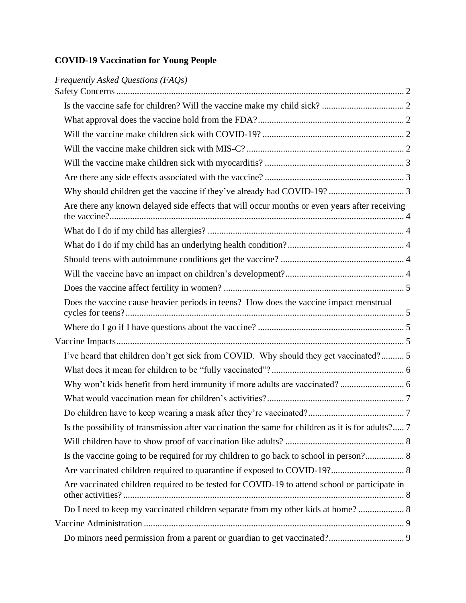# **COVID-19 Vaccination for Young People**

| Frequently Asked Questions (FAQs)                                                                 |  |
|---------------------------------------------------------------------------------------------------|--|
|                                                                                                   |  |
|                                                                                                   |  |
|                                                                                                   |  |
|                                                                                                   |  |
|                                                                                                   |  |
|                                                                                                   |  |
|                                                                                                   |  |
|                                                                                                   |  |
| Are there any known delayed side effects that will occur months or even years after receiving     |  |
|                                                                                                   |  |
|                                                                                                   |  |
|                                                                                                   |  |
|                                                                                                   |  |
|                                                                                                   |  |
| Does the vaccine cause heavier periods in teens? How does the vaccine impact menstrual            |  |
|                                                                                                   |  |
|                                                                                                   |  |
| I've heard that children don't get sick from COVID. Why should they get vaccinated? 5             |  |
|                                                                                                   |  |
| Why won't kids benefit from herd immunity if more adults are vaccinated?  6                       |  |
|                                                                                                   |  |
|                                                                                                   |  |
| Is the possibility of transmission after vaccination the same for children as it is for adults? 7 |  |
|                                                                                                   |  |
| Is the vaccine going to be required for my children to go back to school in person? 8             |  |
|                                                                                                   |  |
| Are vaccinated children required to be tested for COVID-19 to attend school or participate in     |  |
| Do I need to keep my vaccinated children separate from my other kids at home? 8                   |  |
|                                                                                                   |  |
|                                                                                                   |  |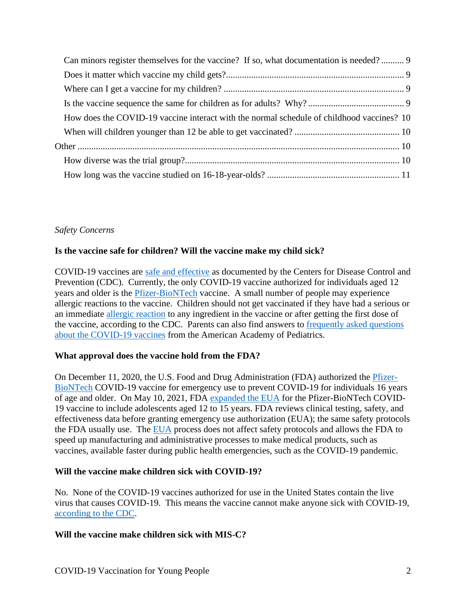| Can minors register themselves for the vaccine? If so, what documentation is needed? 9    |  |
|-------------------------------------------------------------------------------------------|--|
|                                                                                           |  |
|                                                                                           |  |
|                                                                                           |  |
| How does the COVID-19 vaccine interact with the normal schedule of childhood vaccines? 10 |  |
|                                                                                           |  |
|                                                                                           |  |
|                                                                                           |  |
|                                                                                           |  |

# <span id="page-1-0"></span>*Safety Concerns*

# <span id="page-1-1"></span>**Is the vaccine safe for children? Will the vaccine make my child sick?**

COVID-19 vaccines are [safe and effective](https://www.cdc.gov/coronavirus/2019-ncov/vaccines/safety/safety-of-vaccines.html) as documented by the Centers for Disease Control and Prevention (CDC). Currently, the only COVID-19 vaccine authorized for individuals aged 12 years and older is the [Pfizer-BioNTech](https://www.cdc.gov/coronavirus/2019-ncov/vaccines/different-vaccines/Pfizer-BioNTech.html) vaccine. A small number of people may experience allergic reactions to the vaccine. Children should not get vaccinated if they have had a serious or an immediate [allergic reaction](https://www.cdc.gov/coronavirus/2019-ncov/vaccines/different-vaccines/Pfizer-BioNTech.html) to any ingredient in the vaccine or after getting the first dose of the vaccine, according to the CDC. Parents can also find answers to [frequently asked questions](https://www.healthychildren.org/English/health-issues/conditions/COVID-19/Pages/The-Science-Behind-the-COVID-19-Vaccine-Parent-FAQs.aspx)  [about the COVID-19 vaccines](https://www.healthychildren.org/English/health-issues/conditions/COVID-19/Pages/The-Science-Behind-the-COVID-19-Vaccine-Parent-FAQs.aspx) from the American Academy of Pediatrics.

# <span id="page-1-2"></span>**What approval does the vaccine hold from the FDA?**

On December 11, 2020, the U.S. Food and Drug Administration (FDA) authorized the [Pfizer-](https://www.fda.gov/emergency-preparedness-and-response/coronavirus-disease-2019-covid-19/pfizer-biontech-covid-19-vaccine)[BioNTech](https://www.fda.gov/emergency-preparedness-and-response/coronavirus-disease-2019-covid-19/pfizer-biontech-covid-19-vaccine) COVID-19 vaccine for emergency use to prevent COVID-19 for individuals 16 years of age and older. On May 10, 2021, FDA [expanded the EUA](https://www.fda.gov/news-events/press-announcements/coronavirus-covid-19-update-fda-authorizes-pfizer-biontech-covid-19-vaccine-emergency-use) for the Pfizer-BioNTech COVID-19 vaccine to include adolescents aged 12 to 15 years. FDA reviews clinical testing, safety, and effectiveness data before granting emergency use authorization (EUA); the same safety protocols the FDA usually use. The [EUA](https://www.fda.gov/emergency-preparedness-and-response/mcm-legal-regulatory-and-policy-framework/emergency-use-authorization) process does not affect safety protocols and allows the FDA to speed up manufacturing and administrative processes to make medical products, such as vaccines, available faster during public health emergencies, such as the COVID-19 pandemic.

# <span id="page-1-3"></span>**Will the vaccine make children sick with COVID-19?**

No. None of the COVID-19 vaccines authorized for use in the United States contain the live virus that causes COVID-19. This means the vaccine cannot make anyone sick with COVID-19, [according to the CDC.](https://www.cdc.gov/coronavirus/2019-ncov/vaccines/facts.html)

# <span id="page-1-4"></span>**Will the vaccine make children sick with MIS-C?**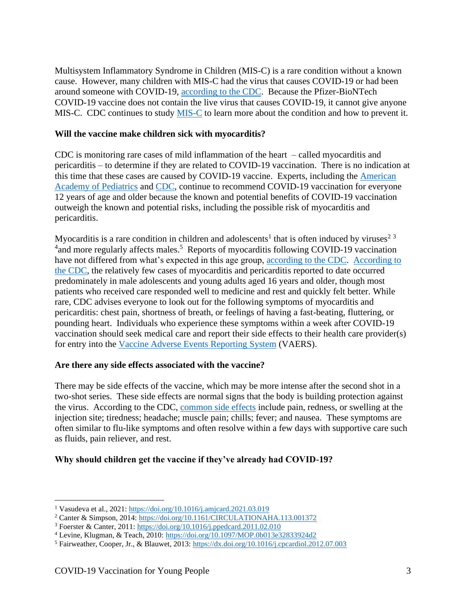Multisystem Inflammatory Syndrome in Children (MIS-C) is a rare condition without a known cause. However, many children with MIS-C had the virus that causes COVID-19 or had been around someone with COVID-19, [according to the CDC.](https://www.cdc.gov/mis-c/cdc-response/) Because the Pfizer-BioNTech COVID-19 vaccine does not contain the live virus that causes COVID-19, it cannot give anyone MIS-C. CDC continues to study [MIS-C](https://www.cdc.gov/mis-c/cdc-response/) to learn more about the condition and how to prevent it.

### <span id="page-2-0"></span>**Will the vaccine make children sick with myocarditis?**

CDC is monitoring rare cases of mild inflammation of the heart – called myocarditis and pericarditis – to determine if they are related to COVID-19 vaccination. There is no indication at this time that these cases are caused by COVID-19 vaccine. Experts, including the [American](https://www.healthychildren.org/English/tips-tools/ask-the-pediatrician/Pages/Does-the-COVID-19-vaccine-cause-myocarditis-in-teens-and-young-people.aspx)  [Academy of Pediatrics](https://www.healthychildren.org/English/tips-tools/ask-the-pediatrician/Pages/Does-the-COVID-19-vaccine-cause-myocarditis-in-teens-and-young-people.aspx) and [CDC,](https://www.cdc.gov/coronavirus/2019-ncov/vaccines/safety/myocarditis.html) continue to recommend COVID-19 vaccination for everyone 12 years of age and older because the known and potential benefits of COVID-19 vaccination outweigh the known and potential risks, including the possible risk of myocarditis and pericarditis.

Myocarditis is a rare condition in children and adolescents<sup>1</sup> that is often induced by viruses<sup>23</sup> <sup>4</sup> and more regularly affects males.<sup>5</sup> Reports of myocarditis following COVID-19 vaccination have not differed from what's expected in this age group, [according to the CDC.](https://www.cdc.gov/vaccines/acip/work-groups-vast/technical-report-2021-05-17.html) [According to](https://www.cdc.gov/coronavirus/2019-ncov/vaccines/safety/myocarditis.html)  [the CDC,](https://www.cdc.gov/coronavirus/2019-ncov/vaccines/safety/myocarditis.html) the relatively few cases of myocarditis and pericarditis reported to date occurred predominately in male adolescents and young adults aged 16 years and older, though most patients who received care responded well to medicine and rest and quickly felt better. While rare, CDC advises everyone to look out for the following symptoms of myocarditis and pericarditis: chest pain, shortness of breath, or feelings of having a fast-beating, fluttering, or pounding heart. Individuals who experience these symptoms within a week after COVID-19 vaccination should seek medical care and report their side effects to their health care provider(s) for entry into the [Vaccine Adverse Events Reporting System](https://vaers.hhs.gov/esub/index.jsp) (VAERS).

### <span id="page-2-1"></span>**Are there any side effects associated with the vaccine?**

There may be side effects of the vaccine, which may be more intense after the second shot in a two-shot series. These side effects are normal signs that the body is building protection against the virus. According to the CDC, [common side effects](https://www.cdc.gov/coronavirus/2019-ncov/vaccines/expect/after.html) include pain, redness, or swelling at the injection site; tiredness; headache; muscle pain; chills; fever; and nausea. These symptoms are often similar to flu-like symptoms and often resolve within a few days with supportive care such as fluids, pain reliever, and rest.

### <span id="page-2-2"></span>**Why should children get the vaccine if they've already had COVID-19?**

<sup>1</sup> Vasudeva et al., 2021:<https://doi.org/10.1016/j.amjcard.2021.03.019>

<sup>2</sup> Canter & Simpson, 2014[: https://doi.org/10.1161/CIRCULATIONAHA.113.001372](https://doi.org/10.1161/CIRCULATIONAHA.113.001372)

<sup>3</sup> Foerster & Canter, 2011:<https://doi.org/10.1016/j.ppedcard.2011.02.010>

<sup>4</sup> Levine, Klugman, & Teach, 2010[: https://doi.org/10.1097/MOP.0b013e32833924d2](https://doi.org/10.1097/MOP.0b013e32833924d2)

<sup>5</sup> Fairweather, Cooper, Jr., & Blauwet, 2013:<https://dx.doi.org/10.1016/j.cpcardiol.2012.07.003>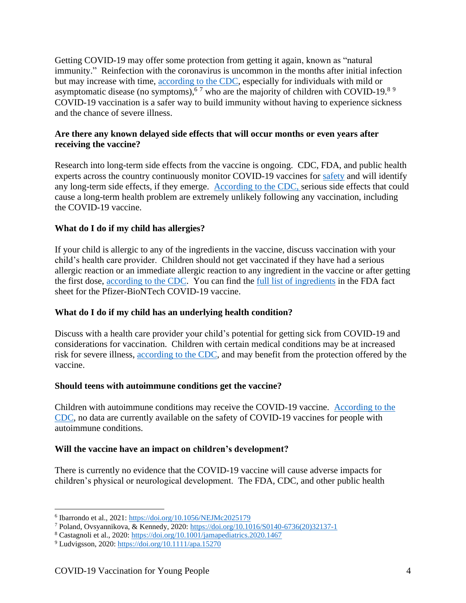Getting COVID-19 may offer some protection from getting it again, known as "natural immunity." Reinfection with the coronavirus is uncommon in the months after initial infection but may increase with time, [according to the CDC,](https://www.cdc.gov/coronavirus/2019-ncov/vaccines/vaccine-benefits.html) especially for individuals with mild or asymptomatic disease (no symptoms),  $67$  who are the majority of children with COVID-19.<sup>89</sup> COVID-19 vaccination is a safer way to build immunity without having to experience sickness and the chance of severe illness.

# <span id="page-3-0"></span>**Are there any known delayed side effects that will occur months or even years after receiving the vaccine?**

Research into long-term side effects from the vaccine is ongoing. CDC, FDA, and public health experts across the country continuously monitor COVID-19 vaccines for [safety](https://www.cdc.gov/vaccines/covid-19/hcp/answering-questions.html) and will identify any long-term side effects, if they emerge. [According to the CDC,](https://www.cdc.gov/coronavirus/2019-ncov/vaccines/safety/safety-of-vaccines.html) serious side effects that could cause a long-term health problem are extremely unlikely following any vaccination, including the COVID-19 vaccine.

# <span id="page-3-1"></span>**What do I do if my child has allergies?**

If your child is allergic to any of the ingredients in the vaccine, discuss vaccination with your child's health care provider. Children should not get vaccinated if they have had a serious allergic reaction or an immediate allergic reaction to any ingredient in the vaccine or after getting the first dose, [according to the CDC.](https://www.cdc.gov/coronavirus/2019-ncov/vaccines/different-vaccines/Pfizer-BioNTech.html) You can find the [full list of ingredients](https://www.fda.gov/media/144414/download#page=2) in the FDA fact sheet for the Pfizer-BioNTech COVID-19 vaccine.

# <span id="page-3-2"></span>**What do I do if my child has an underlying health condition?**

Discuss with a health care provider your child's potential for getting sick from COVID-19 and considerations for vaccination. Children with certain medical conditions may be at increased risk for severe illness, [according to the CDC,](https://www.cdc.gov/coronavirus/2019-ncov/daily-life-coping/children/symptoms.html) and may benefit from the protection offered by the vaccine.

# <span id="page-3-3"></span>**Should teens with autoimmune conditions get the vaccine?**

Children with autoimmune conditions may receive the COVID-19 vaccine. [According to the](https://www.cdc.gov/coronavirus/2019-ncov/vaccines/recommendations/underlying-conditions.html)  [CDC,](https://www.cdc.gov/coronavirus/2019-ncov/vaccines/recommendations/underlying-conditions.html) no data are currently available on the safety of COVID-19 vaccines for people with autoimmune conditions.

# <span id="page-3-4"></span>**Will the vaccine have an impact on children's development?**

There is currently no evidence that the COVID-19 vaccine will cause adverse impacts for children's physical or neurological development. The FDA, CDC, and other public health

<sup>&</sup>lt;sup>6</sup> Ibarrondo et al., 2021:<https://doi.org/10.1056/NEJMc2025179>

<sup>7</sup> Poland, Ovsyannikova, & Kennedy, 2020: [https://doi.org/10.1016/S0140-6736\(20\)32137-1](https://doi.org/10.1016/S0140-6736(20)32137-1)

<sup>&</sup>lt;sup>8</sup> Castagnoli et al., 2020[: https://doi.org/10.1001/jamapediatrics.2020.1467](https://doi.org/10.1001/jamapediatrics.2020.1467)

<sup>&</sup>lt;sup>9</sup> Ludvigsson, 2020[: https://doi.org/10.1111/apa.15270](https://doi.org/10.1111/apa.15270)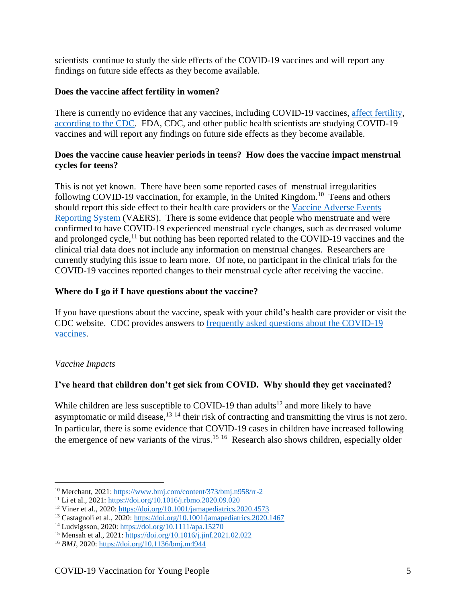scientists continue to study the side effects of the COVID-19 vaccines and will report any findings on future side effects as they become available.

### <span id="page-4-0"></span>**Does the vaccine affect fertility in women?**

There is currently no evidence that any vaccines, including COVID-19 vaccines, [affect fertility,](https://www.cdc.gov/coronavirus/2019-ncov/vaccines/recommendations/pregnancy.html) [according to the CDC.](https://www.cdc.gov/coronavirus/2019-ncov/vaccines/facts.html) FDA, CDC, and other public health scientists are studying COVID-19 vaccines and will report any findings on future side effects as they become available.

### <span id="page-4-1"></span>**Does the vaccine cause heavier periods in teens? How does the vaccine impact menstrual cycles for teens?**

This is not yet known. There have been some reported cases of menstrual irregularities following COVID-19 vaccination, for example, in the United Kingdom.<sup>10</sup> Teens and others should report this side effect to their health care providers or the [Vaccine Adverse Events](https://vaers.hhs.gov/esub/index.jsp)  [Reporting System](https://vaers.hhs.gov/esub/index.jsp) (VAERS). There is some evidence that people who menstruate and were confirmed to have COVID-19 experienced menstrual cycle changes, such as decreased volume and prolonged cycle,<sup>11</sup> but nothing has been reported related to the COVID-19 vaccines and the clinical trial data does not include any information on menstrual changes. Researchers are currently studying this issue to learn more. Of note, no participant in the clinical trials for the COVID-19 vaccines reported changes to their menstrual cycle after receiving the vaccine.

# <span id="page-4-2"></span>**Where do I go if I have questions about the vaccine?**

If you have questions about the vaccine, speak with your child's health care provider or visit the CDC website. CDC provides answers to [frequently asked questions about the COVID-19](https://www.cdc.gov/coronavirus/2019-ncov/vaccines/faq.html)  [vaccines.](https://www.cdc.gov/coronavirus/2019-ncov/vaccines/faq.html)

# <span id="page-4-3"></span>*Vaccine Impacts*

# <span id="page-4-4"></span>**I've heard that children don't get sick from COVID. Why should they get vaccinated?**

While children are less susceptible to COVID-19 than adults<sup>12</sup> and more likely to have asymptomatic or mild disease,<sup>13 14</sup> their risk of contracting and transmitting the virus is not zero. In particular, there is some evidence that COVID-19 cases in children have increased following the emergence of new variants of the virus.<sup>15 16</sup> Research also shows children, especially older

<sup>10</sup> Merchant, 2021[: https://www.bmj.com/content/373/bmj.n958/rr-2](https://www.bmj.com/content/373/bmj.n958/rr-2)

<sup>11</sup> Li et al., 2021:<https://doi.org/10.1016/j.rbmo.2020.09.020>

<sup>12</sup> Viner et al., 2020:<https://doi.org/10.1001/jamapediatrics.2020.4573>

<sup>&</sup>lt;sup>13</sup> Castagnoli et al., 2020:<https://doi.org/10.1001/jamapediatrics.2020.1467>

<sup>14</sup> Ludvigsson, 2020:<https://doi.org/10.1111/apa.15270>

<sup>15</sup> Mensah et al., 2021:<https://doi.org/10.1016/j.jinf.2021.02.022>

<sup>16</sup> *BMJ*, 2020:<https://doi.org/10.1136/bmj.m4944>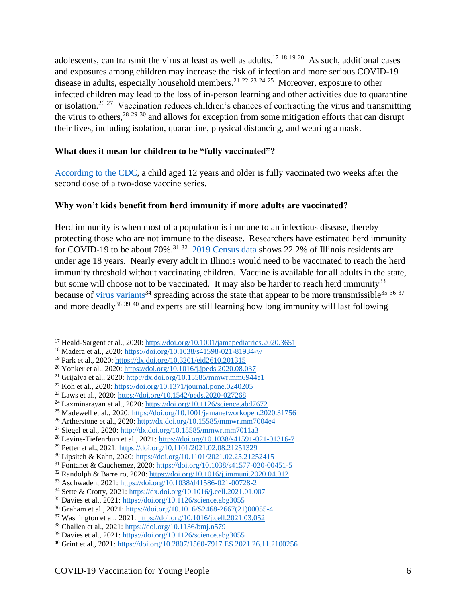adolescents, can transmit the virus at least as well as adults.<sup>17 18 19 20</sup> As such, additional cases and exposures among children may increase the risk of infection and more serious COVID-19 disease in adults, especially household members.<sup>21</sup> <sup>22</sup> <sup>23</sup> <sup>24</sup> <sup>25</sup> Moreover, exposure to other infected children may lead to the loss of in-person learning and other activities due to quarantine or isolation.<sup>26 27</sup> Vaccination reduces children's chances of contracting the virus and transmitting the virus to others,  $28\frac{29\frac{30}{9}}{30}$  and allows for exception from some mitigation efforts that can disrupt their lives, including isolation, quarantine, physical distancing, and wearing a mask.

# <span id="page-5-0"></span>**What does it mean for children to be "fully vaccinated"?**

[According to the CDC,](https://www.cdc.gov/coronavirus/2019-ncov/vaccines/fully-vaccinated.html) a child aged 12 years and older is fully vaccinated two weeks after the second dose of a two-dose vaccine series.

# <span id="page-5-1"></span>**Why won't kids benefit from herd immunity if more adults are vaccinated?**

Herd immunity is when most of a population is immune to an infectious disease, thereby protecting those who are not immune to the disease. Researchers have estimated herd immunity for COVID-19 to be about 70%.<sup>31 32</sup> [2019 Census data](https://www.census.gov/quickfacts/IL) shows 22.2% of Illinois residents are under age 18 years. Nearly every adult in Illinois would need to be vaccinated to reach the herd immunity threshold without vaccinating children. Vaccine is available for all adults in the state, but some will choose not to be vaccinated. It may also be harder to reach herd immunity<sup>33</sup> because of [virus variants](http://www.dph.illinois.gov/covid19/variants)<sup>34</sup> spreading across the state that appear to be more transmissible<sup>35</sup> 36  $37$ and more deadly<sup>38 39 40</sup> and experts are still learning how long immunity will last following

<sup>17</sup> Heald-Sargent et al., 2020:<https://doi.org/10.1001/jamapediatrics.2020.3651>

<sup>18</sup> Madera et al., 2020:<https://doi.org/10.1038/s41598-021-81934-w>

<sup>19</sup> Park et al., 2020[: https://dx.doi.org/10.3201/eid2610.201315](https://dx.doi.org/10.3201/eid2610.201315)

<sup>20</sup> Yonker et al., 2020:<https://doi.org/10.1016/j.jpeds.2020.08.037>

<sup>&</sup>lt;sup>21</sup> Grijalva et al., 2020:<http://dx.doi.org/10.15585/mmwr.mm6944e1>

<sup>22</sup> Koh et al., 2020[: https://doi.org/10.1371/journal.pone.0240205](https://doi.org/10.1371/journal.pone.0240205)

<sup>23</sup> Laws et al., 2020:<https://doi.org/10.1542/peds.2020-027268>

 $^{24}$  Laxminarayan et al., 2020:<https://doi.org/10.1126/science.abd7672>

<sup>&</sup>lt;sup>25</sup> Madewell et al., 2020:<https://doi.org/10.1001/jamanetworkopen.2020.31756>

<sup>26</sup> Artherstone et al., 2020:<http://dx.doi.org/10.15585/mmwr.mm7004e4>

<sup>27</sup> Siegel et al., 2020:<http://dx.doi.org/10.15585/mmwr.mm7011a3>

<sup>28</sup> Levine-Tiefenrbun et al., 2021[: https://doi.org/10.1038/s41591-021-01316-7](https://doi.org/10.1038/s41591-021-01316-7)

<sup>29</sup> Petter et al., 2021[: https://doi.org/10.1101/2021.02.08.21251329](https://doi.org/10.1101/2021.02.08.21251329)

<sup>30</sup> Lipsitch & Kahn, 2020:<https://doi.org/10.1101/2021.02.25.21252415>

<sup>31</sup> Fontanet & Cauchemez, 2020[: https://doi.org/10.1038/s41577-020-00451-5](https://doi.org/10.1038/s41577-020-00451-5)

<sup>32</sup> Randolph & Barreiro, 2020:<https://doi.org/10.1016/j.immuni.2020.04.012>

<sup>33</sup> Aschwaden, 2021:<https://doi.org/10.1038/d41586-021-00728-2>

<sup>34</sup> Sette & Crotty, 2021[: https://dx.doi.org/10.1016/j.cell.2021.01.007](https://dx.doi.org/10.1016/j.cell.2021.01.007)

<sup>35</sup> Davies et al., 2021:<https://doi.org/10.1126/science.abg3055>

<sup>36</sup> Graham et al., 2021: [https://doi.org/10.1016/S2468-2667\(21\)00055-4](https://doi.org/10.1016/S2468-2667(21)00055-4)

<sup>37</sup> Washington et al., 2021[: https://doi.org/10.1016/j.cell.2021.03.052](https://doi.org/10.1016/j.cell.2021.03.052)

<sup>38</sup> Challen et al., 2021:<https://doi.org/10.1136/bmj.n579>

<sup>&</sup>lt;sup>39</sup> Davies et al., 2021:<https://doi.org/10.1126/science.abg3055>

<sup>40</sup> Grint et al., 2021:<https://doi.org/10.2807/1560-7917.ES.2021.26.11.2100256>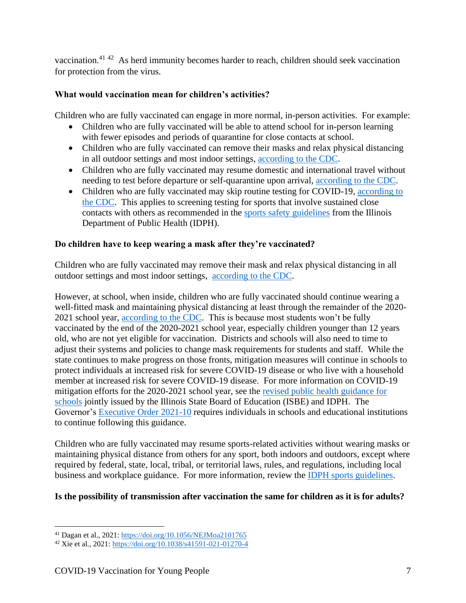vaccination.<sup>41 42</sup> As herd immunity becomes harder to reach, children should seek vaccination for protection from the virus.

# <span id="page-6-0"></span>**What would vaccination mean for children's activities?**

Children who are fully vaccinated can engage in more normal, in-person activities. For example:

- Children who are fully vaccinated will be able to attend school for in-person learning with fewer episodes and periods of quarantine for close contacts at school.
- Children who are fully vaccinated can remove their masks and relax physical distancing in all outdoor settings and most indoor settings, [according to the CDC.](https://www.cdc.gov/coronavirus/2019-ncov/vaccines/fully-vaccinated-guidance.html)
- Children who are fully vaccinated may resume domestic and international travel without needing to test before departure or self-quarantine upon arrival, [according to the CDC.](https://www.cdc.gov/coronavirus/2019-ncov/vaccines/fully-vaccinated-guidance.html)
- Children who are fully vaccinated may skip routine testing for COVID-19, according to [the CDC.](https://www.cdc.gov/coronavirus/2019-ncov/vaccines/fully-vaccinated-guidance.html) This applies to screening testing for sports that involve sustained close contacts with others as recommended in the [sports safety guidelines](https://www.dph.illinois.gov/covid19/community-guidance/sports-safety-guidance) from the Illinois Department of Public Health (IDPH).

# <span id="page-6-1"></span>**Do children have to keep wearing a mask after they're vaccinated?**

Children who are fully vaccinated may remove their mask and relax physical distancing in all outdoor settings and most indoor settings, [according to the CDC.](https://www.cdc.gov/coronavirus/2019-ncov/vaccines/fully-vaccinated-guidance.html)

However, at school, when inside, children who are fully vaccinated should continue wearing a well-fitted mask and maintaining physical distancing at least through the remainder of the 2020 2021 school year, [according to the CDC.](https://www.cdc.gov/coronavirus/2019-ncov/community/schools-childcare/operation-strategy.html#fully-vacc) This is because most students won't be fully vaccinated by the end of the 2020-2021 school year, especially children younger than 12 years old, who are not yet eligible for vaccination. Districts and schools will also need to time to adjust their systems and policies to change mask requirements for students and staff. While the state continues to make progress on those fronts, mitigation measures will continue in schools to protect individuals at increased risk for severe COVID-19 disease or who live with a household member at increased risk for severe COVID-19 disease. For more information on COVID-19 mitigation efforts for the 2020-2021 school year, see the [revised public health guidance for](https://www.isbe.net/Documents/revised-public-health-guidance-for-schools.pdf)  [schools](https://www.isbe.net/Documents/revised-public-health-guidance-for-schools.pdf) jointly issued by the Illinois State Board of Education (ISBE) and IDPH. The Governor's [Executive Order 2021-10](https://www2.illinois.gov/Pages/Executive-Orders/ExecutiveOrder2021-10.aspx) requires individuals in schools and educational institutions to continue following this guidance.

Children who are fully vaccinated may resume sports-related activities without wearing masks or maintaining physical distance from others for any sport, both indoors and outdoors, except where required by federal, state, local, tribal, or territorial laws, rules, and regulations, including local business and workplace guidance. For more information, review the [IDPH sports guidelines.](https://www.dph.illinois.gov/covid19/community-guidance/sports-safety-guidance)

# <span id="page-6-2"></span>**Is the possibility of transmission after vaccination the same for children as it is for adults?**

<sup>41</sup> Dagan et al., 2021:<https://doi.org/10.1056/NEJMoa2101765>

<sup>42</sup> Xie et al., 2021[: https://doi.org/10.1038/s41591-021-01270-4](https://doi.org/10.1038/s41591-021-01270-4)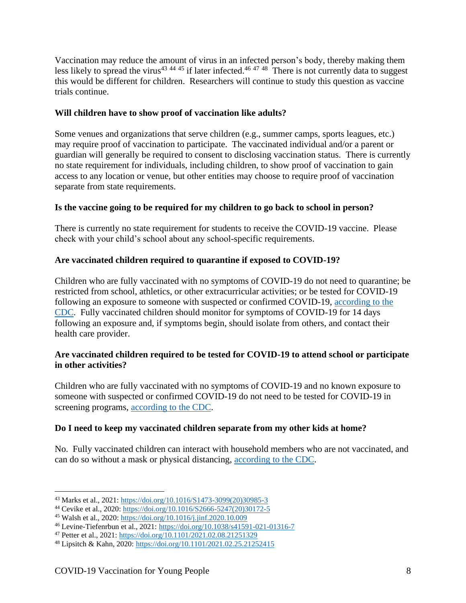Vaccination may reduce the amount of virus in an infected person's body, thereby making them less likely to spread the virus<sup>43 44 45</sup> if later infected.<sup>46 47 48</sup> There is not currently data to suggest this would be different for children. Researchers will continue to study this question as vaccine trials continue.

### <span id="page-7-0"></span>**Will children have to show proof of vaccination like adults?**

Some venues and organizations that serve children (e.g., summer camps, sports leagues, etc.) may require proof of vaccination to participate. The vaccinated individual and/or a parent or guardian will generally be required to consent to disclosing vaccination status. There is currently no state requirement for individuals, including children, to show proof of vaccination to gain access to any location or venue, but other entities may choose to require proof of vaccination separate from state requirements.

# <span id="page-7-1"></span>**Is the vaccine going to be required for my children to go back to school in person?**

There is currently no state requirement for students to receive the COVID-19 vaccine. Please check with your child's school about any school-specific requirements.

### <span id="page-7-2"></span>**Are vaccinated children required to quarantine if exposed to COVID-19?**

Children who are fully vaccinated with no symptoms of COVID-19 do not need to quarantine; be restricted from school, athletics, or other extracurricular activities; or be tested for COVID-19 following an exposure to someone with suspected or confirmed COVID-19, [according to the](https://www.cdc.gov/coronavirus/2019-ncov/vaccines/fully-vaccinated-guidance.html)  [CDC.](https://www.cdc.gov/coronavirus/2019-ncov/vaccines/fully-vaccinated-guidance.html) Fully vaccinated children should monitor for symptoms of COVID-19 for 14 days following an exposure and, if symptoms begin, should isolate from others, and contact their health care provider.

### <span id="page-7-3"></span>**Are vaccinated children required to be tested for COVID-19 to attend school or participate in other activities?**

Children who are fully vaccinated with no symptoms of COVID-19 and no known exposure to someone with suspected or confirmed COVID-19 do not need to be tested for COVID-19 in screening programs, [according to the CDC.](https://www.cdc.gov/coronavirus/2019-ncov/vaccines/fully-vaccinated-guidance.html)

### <span id="page-7-4"></span>**Do I need to keep my vaccinated children separate from my other kids at home?**

No. Fully vaccinated children can interact with household members who are not vaccinated, and can do so without a mask or physical distancing, [according to the CDC.](https://www.cdc.gov/coronavirus/2019-ncov/vaccines/fully-vaccinated-guidance.html)

<sup>43</sup> Marks et al., 2021: [https://doi.org/10.1016/S1473-3099\(20\)30985-3](https://doi.org/10.1016/S1473-3099(20)30985-3)

<sup>44</sup> Cevike et al., 2020[: https://doi.org/10.1016/S2666-5247\(20\)30172-5](https://doi.org/10.1016/S2666-5247(20)30172-5)

<sup>45</sup> Walsh et al., 2020:<https://doi.org/10.1016/j.jinf.2020.10.009>

<sup>46</sup> Levine-Tiefenrbun et al., 2021[: https://doi.org/10.1038/s41591-021-01316-7](https://doi.org/10.1038/s41591-021-01316-7)

<sup>47</sup> Petter et al., 2021[: https://doi.org/10.1101/2021.02.08.21251329](https://doi.org/10.1101/2021.02.08.21251329)

<sup>48</sup> Lipsitch & Kahn, 2020:<https://doi.org/10.1101/2021.02.25.21252415>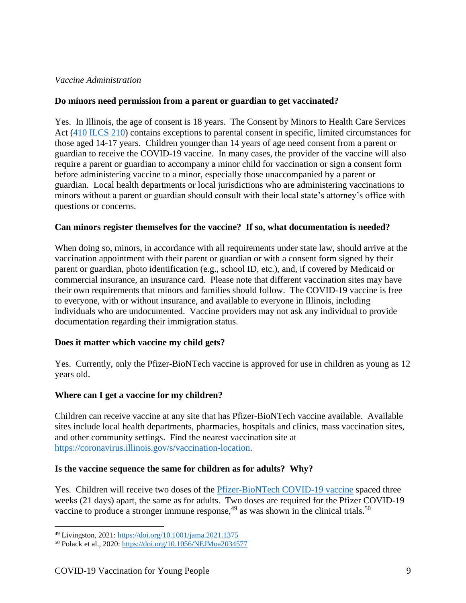### <span id="page-8-0"></span>*Vaccine Administration*

### <span id="page-8-1"></span>**Do minors need permission from a parent or guardian to get vaccinated?**

Yes. In Illinois, the age of consent is 18 years. The Consent by Minors to Health Care Services Act [\(410 ILCS 210\)](https://ilga.gov/legislation/ILCS/ilcs3.asp?ActID=1539&ChapterID=35) contains exceptions to parental consent in specific, limited circumstances for those aged 14-17 years. Children younger than 14 years of age need consent from a parent or guardian to receive the COVID-19 vaccine. In many cases, the provider of the vaccine will also require a parent or guardian to accompany a minor child for vaccination or sign a consent form before administering vaccine to a minor, especially those unaccompanied by a parent or guardian. Local health departments or local jurisdictions who are administering vaccinations to minors without a parent or guardian should consult with their local state's attorney's office with questions or concerns.

### <span id="page-8-2"></span>**Can minors register themselves for the vaccine? If so, what documentation is needed?**

When doing so, minors, in accordance with all requirements under state law, should arrive at the vaccination appointment with their parent or guardian or with a consent form signed by their parent or guardian, photo identification (e.g., school ID, etc.), and, if covered by Medicaid or commercial insurance, an insurance card. Please note that different vaccination sites may have their own requirements that minors and families should follow. The COVID-19 vaccine is free to everyone, with or without insurance, and available to everyone in Illinois, including individuals who are undocumented. Vaccine providers may not ask any individual to provide documentation regarding their immigration status.

# <span id="page-8-3"></span>**Does it matter which vaccine my child gets?**

Yes. Currently, only the Pfizer-BioNTech vaccine is approved for use in children as young as 12 years old.

# <span id="page-8-4"></span>**Where can I get a vaccine for my children?**

Children can receive vaccine at any site that has Pfizer-BioNTech vaccine available. Available sites include local health departments, pharmacies, hospitals and clinics, mass vaccination sites, and other community settings. Find the nearest vaccination site at [https://coronavirus.illinois.gov/s/vaccination-location.](https://coronavirus.illinois.gov/s/vaccination-location)

### <span id="page-8-5"></span>**Is the vaccine sequence the same for children as for adults? Why?**

Yes. Children will receive two doses of the **Pfizer-BioNTech COVID-19** vaccine spaced three weeks (21 days) apart, the same as for adults. Two doses are required for the Pfizer COVID-19 vaccine to produce a stronger immune response,  $49$  as was shown in the clinical trials.<sup>50</sup>

<sup>49</sup> Livingston, 2021[: https://doi.org/10.1001/jama.2021.1375](https://doi.org/10.1001/jama.2021.1375)

<sup>50</sup> Polack et al., 2020:<https://doi.org/10.1056/NEJMoa2034577>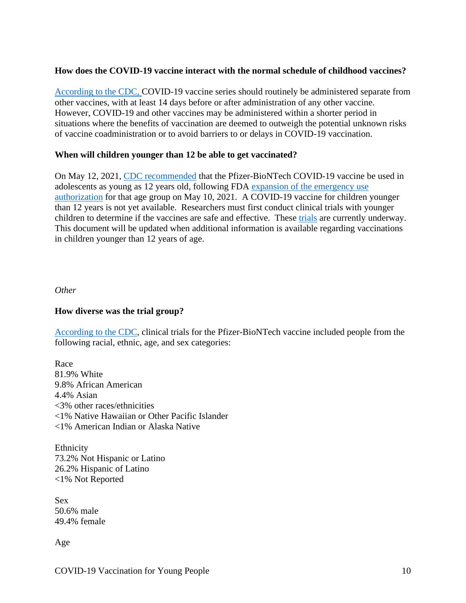# <span id="page-9-0"></span>**How does the COVID-19 vaccine interact with the normal schedule of childhood vaccines?**

[According to the CDC,](https://www.cdc.gov/vaccines/covid-19/info-by-product/clinical-considerations.html) COVID-19 vaccine series should routinely be administered separate from other vaccines, with at least 14 days before or after administration of any other vaccine. However, COVID-19 and other vaccines may be administered within a shorter period in situations where the benefits of vaccination are deemed to outweigh the potential unknown risks of vaccine coadministration or to avoid barriers to or delays in COVID-19 vaccination.

### <span id="page-9-1"></span>**When will children younger than 12 be able to get vaccinated?**

On May 12, 2021, [CDC recommended](https://www.cdc.gov/media/releases/2021/s0512-advisory-committee-signing.html) that the Pfizer-BioNTech COVID-19 vaccine be used in adolescents as young as 12 years old, following FDA [expansion of the emergency use](https://www.fda.gov/news-events/press-announcements/coronavirus-covid-19-update-fda-authorizes-pfizer-biontech-covid-19-vaccine-emergency-use)  [authorization](https://www.fda.gov/news-events/press-announcements/coronavirus-covid-19-update-fda-authorizes-pfizer-biontech-covid-19-vaccine-emergency-use) for that age group on May 10, 2021. A COVID-19 vaccine for children younger than 12 years is not yet available. Researchers must first conduct clinical trials with younger children to determine if the vaccines are safe and effective. These [trials](https://khn.org/morning-breakout/when-will-kids-start-getting-vaccinated-pfizer-trials-enroll-younger-subjects/) are currently underway. This document will be updated when additional information is available regarding vaccinations in children younger than 12 years of age.

<span id="page-9-2"></span>*Other*

### <span id="page-9-3"></span>**How diverse was the trial group?**

[According to the CDC,](https://www.cdc.gov/coronavirus/2019-ncov/vaccines/different-vaccines/Pfizer-BioNTech.html) clinical trials for the Pfizer-BioNTech vaccine included people from the following racial, ethnic, age, and sex categories:

Race 81.9% White 9.8% African American 4.4% Asian <3% other races/ethnicities <1% Native Hawaiian or Other Pacific Islander <1% American Indian or Alaska Native

Ethnicity 73.2% Not Hispanic or Latino 26.2% Hispanic of Latino <1% Not Reported

Sex 50.6% male 49.4% female

Age